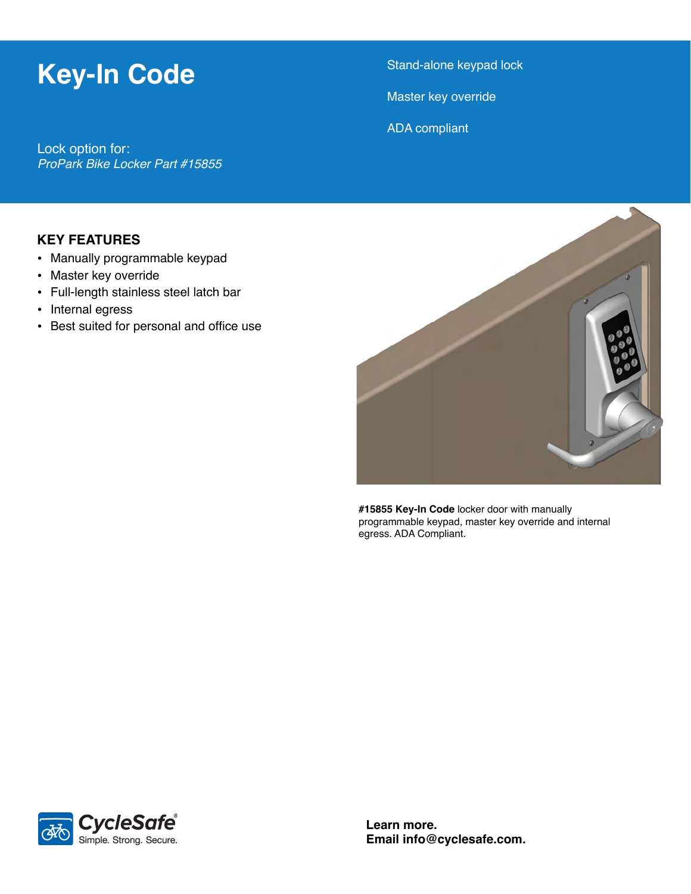## **Key-In Code**

Stand-alone keypad lock

Master key override

ADA compliant

Lock option for: *ProPark Bike Locker Part #15855*

### **KEY FEATURES**

- Manually programmable keypad
- Master key override
- Full-length stainless steel latch bar
- Internal egress
- Best suited for personal and office use



**#15855 Key-In Code** locker door with manually programmable keypad, master key override and internal egress. ADA Compliant.



**Learn more. Email info@cyclesafe.com.**